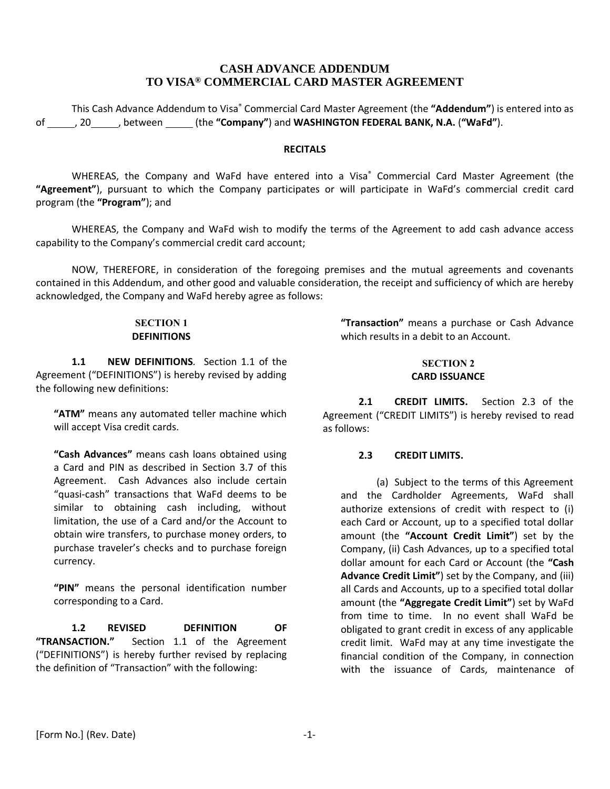# **CASH ADVANCE ADDENDUM TO VISA® COMMERCIAL CARD MASTER AGREEMENT**

This Cash Advance Addendum to Visa® Commercial Card Master Agreement (the **"Addendum"**) is entered into as of , 20 , between (the **"Company"**) and **WASHINGTON FEDERAL BANK, N.A.** (**"WaFd"**).

## **RECITALS**

WHEREAS, the Company and WaFd have entered into a Visa<sup>®</sup> Commercial Card Master Agreement (the **"Agreement"**), pursuant to which the Company participates or will participate in WaFd's commercial credit card program (the **"Program"**); and

WHEREAS, the Company and WaFd wish to modify the terms of the Agreement to add cash advance access capability to the Company's commercial credit card account;

NOW, THEREFORE, in consideration of the foregoing premises and the mutual agreements and covenants contained in this Addendum, and other good and valuable consideration, the receipt and sufficiency of which are hereby acknowledged, the Company and WaFd hereby agree as follows:

#### **SECTION 1 DEFINITIONS**

**1.1 NEW DEFINITIONS***.* Section 1.1 of the Agreement ("DEFINITIONS") is hereby revised by adding the following new definitions:

**"ATM"** means any automated teller machine which will accept Visa credit cards.

**"Cash Advances"** means cash loans obtained using a Card and PIN as described in Section 3.7 of this Agreement. Cash Advances also include certain "quasi-cash" transactions that WaFd deems to be similar to obtaining cash including, without limitation, the use of a Card and/or the Account to obtain wire transfers, to purchase money orders, to purchase traveler's checks and to purchase foreign currency.

**"PIN"** means the personal identification number corresponding to a Card.

**1.2 REVISED DEFINITION OF "TRANSACTION."** Section 1.1 of the Agreement ("DEFINITIONS") is hereby further revised by replacing the definition of "Transaction" with the following:

**"Transaction"** means a purchase or Cash Advance which results in a debit to an Account.

#### **SECTION 2 CARD ISSUANCE**

**2.1 CREDIT LIMITS.** Section 2.3 of the Agreement ("CREDIT LIMITS") is hereby revised to read as follows:

### **2.3 CREDIT LIMITS.**

(a) Subject to the terms of this Agreement and the Cardholder Agreements, WaFd shall authorize extensions of credit with respect to (i) each Card or Account, up to a specified total dollar amount (the **"Account Credit Limit"**) set by the Company, (ii) Cash Advances, up to a specified total dollar amount for each Card or Account (the **"Cash Advance Credit Limit"**) set by the Company, and (iii) all Cards and Accounts, up to a specified total dollar amount (the **"Aggregate Credit Limit"**) set by WaFd from time to time. In no event shall WaFd be obligated to grant credit in excess of any applicable credit limit. WaFd may at any time investigate the financial condition of the Company, in connection with the issuance of Cards, maintenance of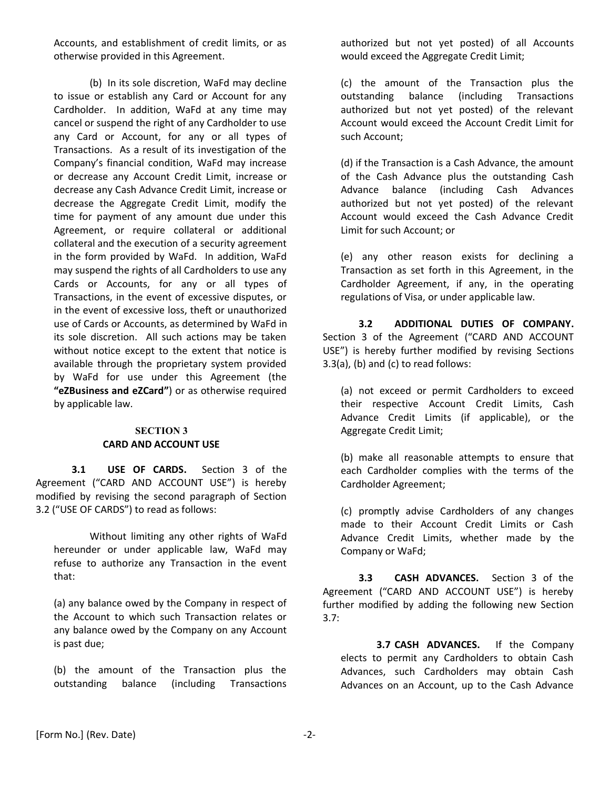Accounts, and establishment of credit limits, or as otherwise provided in this Agreement.

(b) In its sole discretion, WaFd may decline to issue or establish any Card or Account for any Cardholder. In addition, WaFd at any time may cancel or suspend the right of any Cardholder to use any Card or Account, for any or all types of Transactions. As a result of its investigation of the Company's financial condition, WaFd may increase or decrease any Account Credit Limit, increase or decrease any Cash Advance Credit Limit, increase or decrease the Aggregate Credit Limit, modify the time for payment of any amount due under this Agreement, or require collateral or additional collateral and the execution of a security agreement in the form provided by WaFd. In addition, WaFd may suspend the rights of all Cardholders to use any Cards or Accounts, for any or all types of Transactions, in the event of excessive disputes, or in the event of excessive loss, theft or unauthorized use of Cards or Accounts, as determined by WaFd in its sole discretion. All such actions may be taken without notice except to the extent that notice is available through the proprietary system provided by WaFd for use under this Agreement (the **"eZBusiness and eZCard"**) or as otherwise required by applicable law.

### **SECTION 3 CARD AND ACCOUNT USE**

**3.1 USE OF CARDS.** Section 3 of the Agreement ("CARD AND ACCOUNT USE") is hereby modified by revising the second paragraph of Section 3.2 ("USE OF CARDS") to read as follows:

Without limiting any other rights of WaFd hereunder or under applicable law, WaFd may refuse to authorize any Transaction in the event that:

(a) any balance owed by the Company in respect of the Account to which such Transaction relates or any balance owed by the Company on any Account is past due;

(b) the amount of the Transaction plus the outstanding balance (including Transactions authorized but not yet posted) of all Accounts would exceed the Aggregate Credit Limit;

(c) the amount of the Transaction plus the outstanding balance (including Transactions authorized but not yet posted) of the relevant Account would exceed the Account Credit Limit for such Account;

(d) if the Transaction is a Cash Advance, the amount of the Cash Advance plus the outstanding Cash Advance balance (including Cash Advances authorized but not yet posted) of the relevant Account would exceed the Cash Advance Credit Limit for such Account; or

(e) any other reason exists for declining a Transaction as set forth in this Agreement, in the Cardholder Agreement, if any, in the operating regulations of Visa, or under applicable law.

**3.2 ADDITIONAL DUTIES OF COMPANY.** Section 3 of the Agreement ("CARD AND ACCOUNT USE") is hereby further modified by revising Sections 3.3(a), (b) and (c) to read follows:

(a) not exceed or permit Cardholders to exceed their respective Account Credit Limits, Cash Advance Credit Limits (if applicable), or the Aggregate Credit Limit;

(b) make all reasonable attempts to ensure that each Cardholder complies with the terms of the Cardholder Agreement;

(c) promptly advise Cardholders of any changes made to their Account Credit Limits or Cash Advance Credit Limits, whether made by the Company or WaFd;

**3.3 CASH ADVANCES.** Section 3 of the Agreement ("CARD AND ACCOUNT USE") is hereby further modified by adding the following new Section 3.7:

**3.7 CASH ADVANCES.** If the Company elects to permit any Cardholders to obtain Cash Advances, such Cardholders may obtain Cash Advances on an Account, up to the Cash Advance